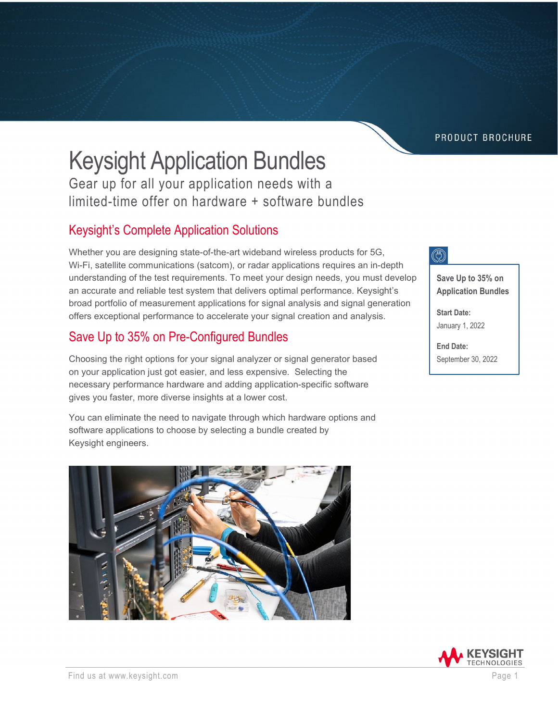PRODUCT BROCHURE

# Keysight Application Bundles

Gear up for all your application needs with a limited-time offer on hardware + software bundles

#### Keysight's Complete Application Solutions

Whether you are designing state-of-the-art wideband wireless products for 5G, Wi-Fi, satellite communications (satcom), or radar applications requires an in-depth understanding of the test requirements. To meet your design needs, you must develop an accurate and reliable test system that delivers optimal performance. Keysight's broad portfolio of measurement applications for signal analysis and signal generation offers exceptional performance to accelerate your signal creation and analysis.

#### Save Up to 35% on Pre-Configured Bundles

Choosing the right options for your signal analyzer or signal generator based on your application just got easier, and less expensive. Selecting the necessary performance hardware and adding application-specific software gives you faster, more diverse insights at a lower cost.

You can eliminate the need to navigate through which hardware options and software applications to choose by selecting a bundle created by Keysight engineers.





**Save Up to 35% on Application Bundles**

**Start Date:** January 1, 2022

**End Date:** September 30, 2022

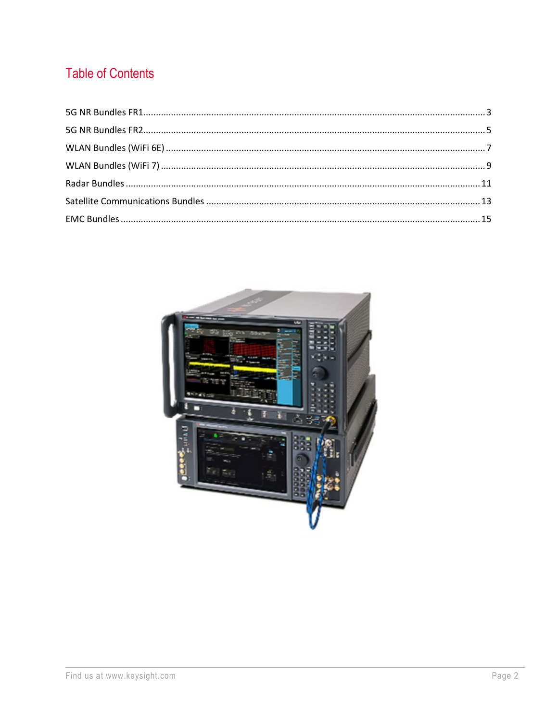# **Table of Contents**

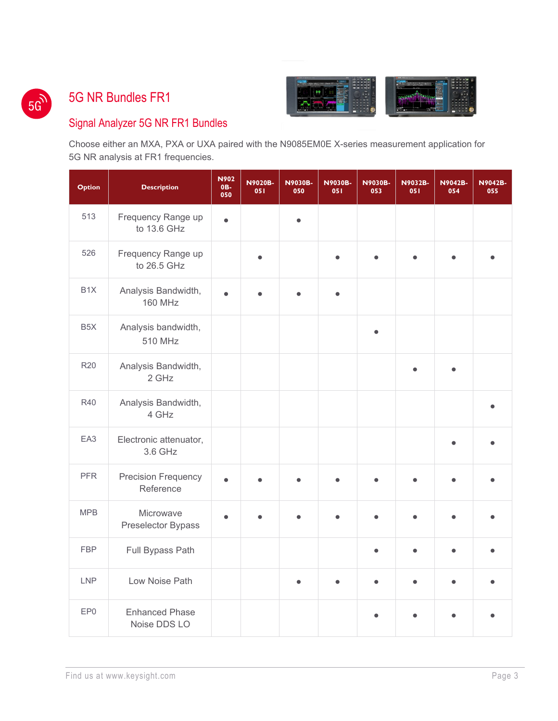$5G<sup>2</sup>$ 

#### <span id="page-2-0"></span>5G NR Bundles FR1



#### Signal Analyzer 5G NR FR1 Bundles

Choose either an MXA, PXA or UXA paired with the N9085EM0E X-series measurement application for 5G NR analysis at FR1 frequencies.

| <b>Option</b>    | <b>Description</b>                      | <b>N902</b><br>0B-<br>050 | <b>N9020B-</b><br>051 | <b>N9030B-</b><br>050 | <b>N9030B-</b><br>051 | <b>N9030B-</b><br>053 | <b>N9032B-</b><br>051 | <b>N9042B-</b><br>054 | <b>N9042B-</b><br>055 |
|------------------|-----------------------------------------|---------------------------|-----------------------|-----------------------|-----------------------|-----------------------|-----------------------|-----------------------|-----------------------|
| 513              | Frequency Range up<br>to 13.6 GHz       | $\bullet$                 |                       |                       |                       |                       |                       |                       |                       |
| 526              | Frequency Range up<br>to 26.5 GHz       |                           |                       |                       | $\bullet$             |                       |                       |                       |                       |
| B <sub>1</sub> X | Analysis Bandwidth,<br><b>160 MHz</b>   | ė                         |                       |                       | $\bullet$             |                       |                       |                       |                       |
| B <sub>5</sub> X | Analysis bandwidth,<br>510 MHz          |                           |                       |                       |                       |                       |                       |                       |                       |
| <b>R20</b>       | Analysis Bandwidth,<br>2 GHz            |                           |                       |                       |                       |                       |                       |                       |                       |
| R40              | Analysis Bandwidth,<br>4 GHz            |                           |                       |                       |                       |                       |                       |                       |                       |
| EA3              | Electronic attenuator,<br>3.6 GHz       |                           |                       |                       |                       |                       |                       |                       |                       |
| <b>PFR</b>       | <b>Precision Frequency</b><br>Reference | ė                         |                       |                       |                       |                       |                       |                       |                       |
| <b>MPB</b>       | Microwave<br>Preselector Bypass         | ٠                         |                       |                       |                       |                       |                       |                       |                       |
| <b>FBP</b>       | Full Bypass Path                        |                           |                       |                       |                       |                       | $\bullet$             | $\bullet$             |                       |
| <b>LNP</b>       | Low Noise Path                          |                           |                       |                       |                       |                       |                       |                       |                       |
| EP <sub>0</sub>  | <b>Enhanced Phase</b><br>Noise DDS LO   |                           |                       |                       |                       |                       |                       |                       |                       |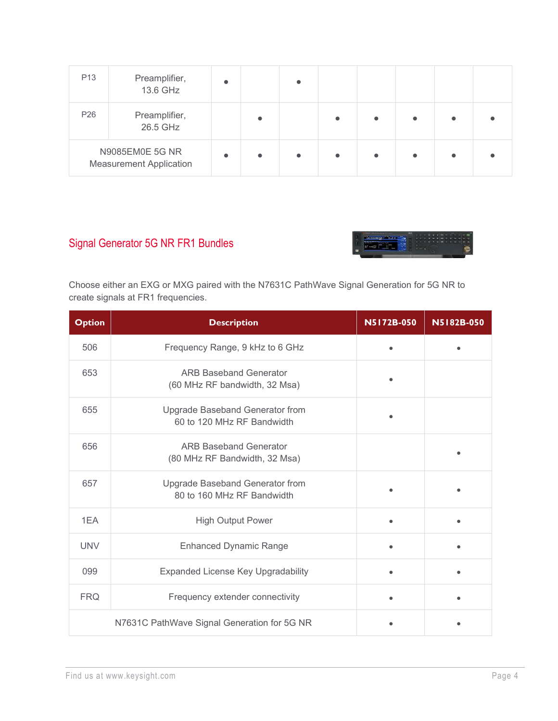| P <sub>13</sub> | Preamplifier,<br>13.6 GHz                         | $\bullet$ | $\bullet$ |  |           |  |
|-----------------|---------------------------------------------------|-----------|-----------|--|-----------|--|
| P <sub>26</sub> | Preamplifier,<br>26.5 GHz                         |           |           |  | $\bullet$ |  |
|                 | N9085EM0E 5G NR<br><b>Measurement Application</b> | $\bullet$ | $\bullet$ |  | $\bullet$ |  |

#### Signal Generator 5G NR FR1 Bundles



Choose either an EXG or MXG paired with the N7631C PathWave Signal Generation for 5G NR to create signals at FR1 frequencies.

| <b>Option</b> | <b>Description</b>                                             | N5172B-050 | N5182B-050 |
|---------------|----------------------------------------------------------------|------------|------------|
| 506           | Frequency Range, 9 kHz to 6 GHz                                |            |            |
| 653           | <b>ARB Baseband Generator</b><br>(60 MHz RF bandwidth, 32 Msa) |            |            |
| 655           | Upgrade Baseband Generator from<br>60 to 120 MHz RF Bandwidth  |            |            |
| 656           | <b>ARB Baseband Generator</b><br>(80 MHz RF Bandwidth, 32 Msa) |            |            |
| 657           | Upgrade Baseband Generator from<br>80 to 160 MHz RF Bandwidth  |            |            |
| 1EA           | <b>High Output Power</b>                                       |            |            |
| <b>UNV</b>    | <b>Enhanced Dynamic Range</b>                                  |            |            |
| 099           | Expanded License Key Upgradability                             |            |            |
| <b>FRQ</b>    | Frequency extender connectivity                                |            |            |
|               | N7631C PathWave Signal Generation for 5G NR                    |            |            |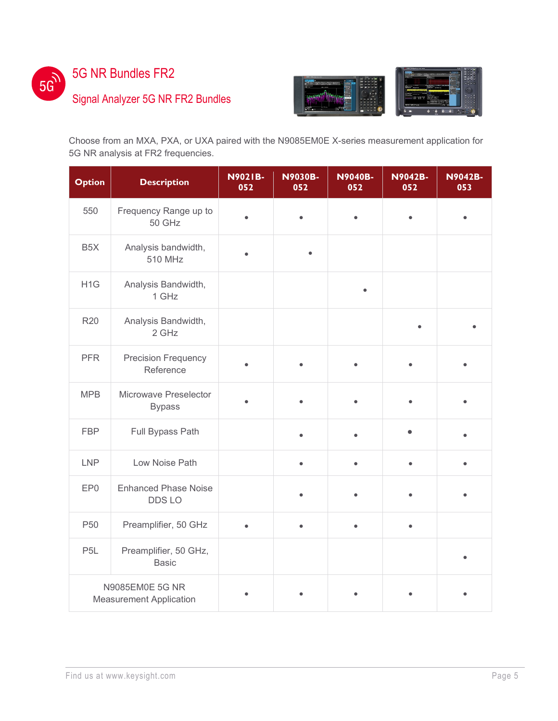

<span id="page-4-0"></span>5G NR Bundles FR2

#### Signal Analyzer 5G NR FR2 Bundles



Choose from an MXA, PXA, or UXA paired with the N9085EM0E X-series measurement application for 5G NR analysis at FR2 frequencies.

| <b>Option</b>    | <b>Description</b>                                | <b>N9021B-</b><br>052 | <b>N9030B-</b><br>052 | <b>N9040B-</b><br>052 | <b>N9042B-</b><br>052 | <b>N9042B-</b><br>053 |
|------------------|---------------------------------------------------|-----------------------|-----------------------|-----------------------|-----------------------|-----------------------|
| 550              | Frequency Range up to<br>50 GHz                   | $\bullet$             | ٠                     |                       |                       |                       |
| B <sub>5</sub> X | Analysis bandwidth,<br>510 MHz                    |                       |                       |                       |                       |                       |
| H <sub>1</sub> G | Analysis Bandwidth,<br>1 GHz                      |                       |                       | $\bullet$             |                       |                       |
| <b>R20</b>       | Analysis Bandwidth,<br>2 GHz                      |                       |                       |                       |                       |                       |
| <b>PFR</b>       | <b>Precision Frequency</b><br>Reference           |                       |                       |                       |                       |                       |
| <b>MPB</b>       | Microwave Preselector<br><b>Bypass</b>            |                       |                       |                       |                       |                       |
| <b>FBP</b>       | Full Bypass Path                                  |                       |                       |                       |                       |                       |
| <b>LNP</b>       | Low Noise Path                                    |                       | $\bullet$             |                       |                       |                       |
| EP0              | <b>Enhanced Phase Noise</b><br>DDS LO             |                       |                       |                       |                       |                       |
| P <sub>50</sub>  | Preamplifier, 50 GHz                              |                       |                       |                       |                       |                       |
| P <sub>5</sub> L | Preamplifier, 50 GHz,<br><b>Basic</b>             |                       |                       |                       |                       |                       |
|                  | N9085EM0E 5G NR<br><b>Measurement Application</b> |                       |                       |                       |                       |                       |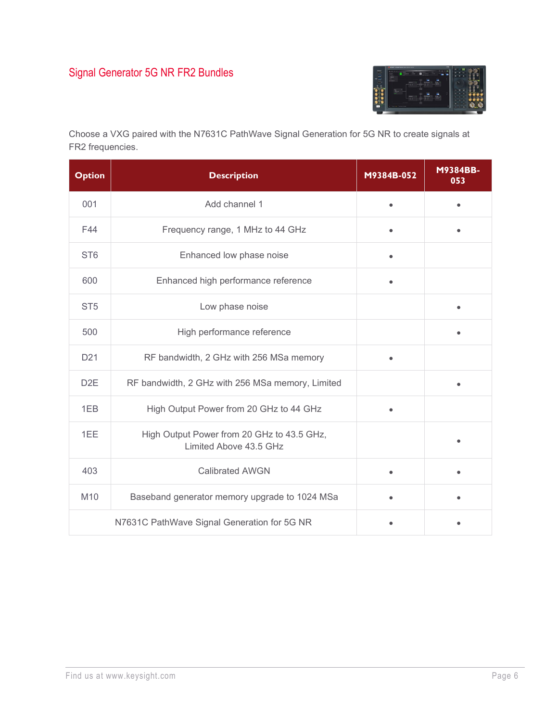# Signal Generator 5G NR FR2 Bundles



Choose a VXG paired with the N7631C PathWave Signal Generation for 5G NR to create signals at FR2 frequencies.

| <b>Option</b>    | <b>Description</b>                                                   | M9384B-052 | M9384BB-<br>053 |
|------------------|----------------------------------------------------------------------|------------|-----------------|
| 001              | Add channel 1                                                        | $\bullet$  | $\bullet$       |
| F44              | Frequency range, 1 MHz to 44 GHz                                     |            |                 |
| ST <sub>6</sub>  | Enhanced low phase noise                                             |            |                 |
| 600              | Enhanced high performance reference                                  |            |                 |
| ST <sub>5</sub>  | Low phase noise                                                      |            |                 |
| 500              | High performance reference                                           |            |                 |
| D <sub>21</sub>  | RF bandwidth, 2 GHz with 256 MSa memory                              |            |                 |
| D <sub>2</sub> E | RF bandwidth, 2 GHz with 256 MSa memory, Limited                     |            |                 |
| 1EB              | High Output Power from 20 GHz to 44 GHz                              |            |                 |
| 1EE              | High Output Power from 20 GHz to 43.5 GHz,<br>Limited Above 43.5 GHz |            |                 |
| 403              | <b>Calibrated AWGN</b>                                               |            |                 |
| M10              | Baseband generator memory upgrade to 1024 MSa                        |            |                 |
|                  | N7631C PathWave Signal Generation for 5G NR                          |            |                 |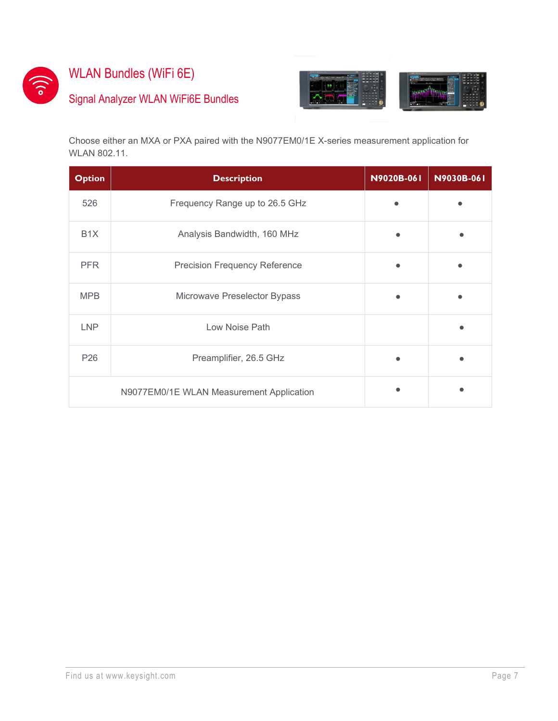

# <span id="page-6-0"></span>WLAN Bundles (WiFi 6E)

# Signal Analyzer WLAN WiFi6E Bundles



Choose either an MXA or PXA paired with the N9077EM0/1E X-series measurement application for WLAN 802.11.

| <b>Option</b>    | <b>Description</b>                       | N9020B-061 | N9030B-061 |
|------------------|------------------------------------------|------------|------------|
| 526              | Frequency Range up to 26.5 GHz           |            |            |
| B <sub>1</sub> X | Analysis Bandwidth, 160 MHz              |            |            |
| <b>PFR</b>       | <b>Precision Frequency Reference</b>     |            |            |
| <b>MPB</b>       | Microwave Preselector Bypass             |            |            |
| <b>LNP</b>       | Low Noise Path                           |            |            |
| P <sub>26</sub>  | Preamplifier, 26.5 GHz                   |            |            |
|                  | N9077EM0/1E WLAN Measurement Application |            |            |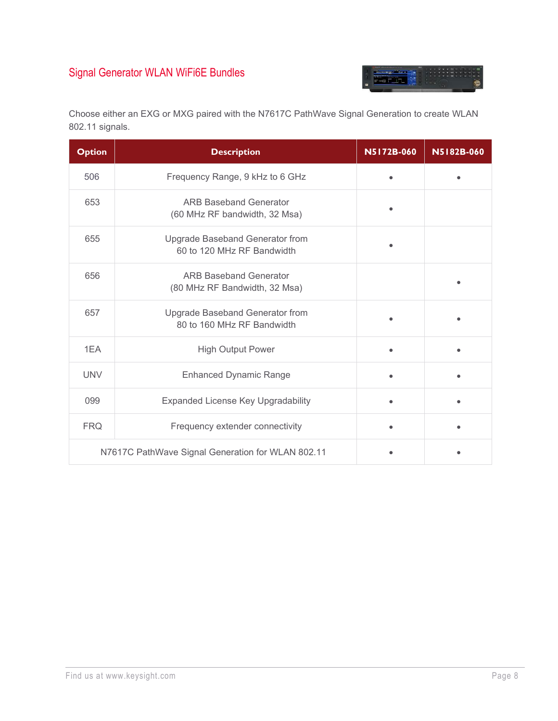# Signal Generator WLAN WiFi6E Bundles



Choose either an EXG or MXG paired with the N7617C PathWave Signal Generation to create WLAN 802.11 signals.

| <b>Option</b> | <b>Description</b>                                             | N5172B-060 | N5182B-060 |
|---------------|----------------------------------------------------------------|------------|------------|
| 506           | Frequency Range, 9 kHz to 6 GHz                                |            |            |
| 653           | <b>ARB Baseband Generator</b><br>(60 MHz RF bandwidth, 32 Msa) |            |            |
| 655           | Upgrade Baseband Generator from<br>60 to 120 MHz RF Bandwidth  |            |            |
| 656           | <b>ARB Baseband Generator</b><br>(80 MHz RF Bandwidth, 32 Msa) |            |            |
| 657           | Upgrade Baseband Generator from<br>80 to 160 MHz RF Bandwidth  |            |            |
| 1FA           | <b>High Output Power</b>                                       |            |            |
| <b>UNV</b>    | <b>Enhanced Dynamic Range</b>                                  |            |            |
| 099           | <b>Expanded License Key Upgradability</b>                      |            |            |
| <b>FRQ</b>    | Frequency extender connectivity                                |            |            |
|               | N7617C PathWave Signal Generation for WLAN 802.11              |            |            |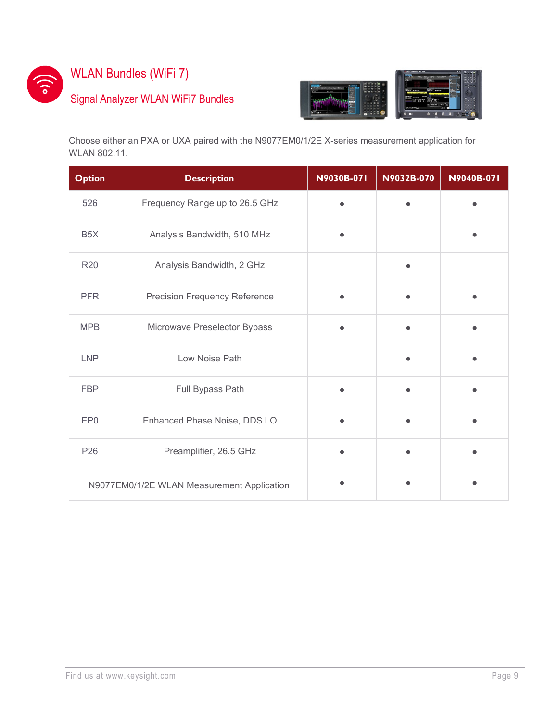

# <span id="page-8-0"></span>WLAN Bundles (WiFi 7)

### Signal Analyzer WLAN WiFi7 Bundles



Choose either an PXA or UXA paired with the N9077EM0/1/2E X-series measurement application for WLAN 802.11.

| <b>Option</b>    | <b>Description</b>                         | N9030B-071 | N9032B-070 | N9040B-071 |
|------------------|--------------------------------------------|------------|------------|------------|
| 526              | Frequency Range up to 26.5 GHz             |            |            |            |
| B <sub>5</sub> X | Analysis Bandwidth, 510 MHz                |            |            |            |
| <b>R20</b>       | Analysis Bandwidth, 2 GHz                  |            |            |            |
| <b>PFR</b>       | <b>Precision Frequency Reference</b>       |            |            |            |
| <b>MPB</b>       | Microwave Preselector Bypass               |            |            |            |
| <b>LNP</b>       | Low Noise Path                             |            |            |            |
| <b>FBP</b>       | Full Bypass Path                           |            |            |            |
| EP <sub>0</sub>  | Enhanced Phase Noise, DDS LO               | $\bullet$  |            |            |
| P <sub>26</sub>  | Preamplifier, 26.5 GHz                     |            |            |            |
|                  | N9077EM0/1/2E WLAN Measurement Application |            |            |            |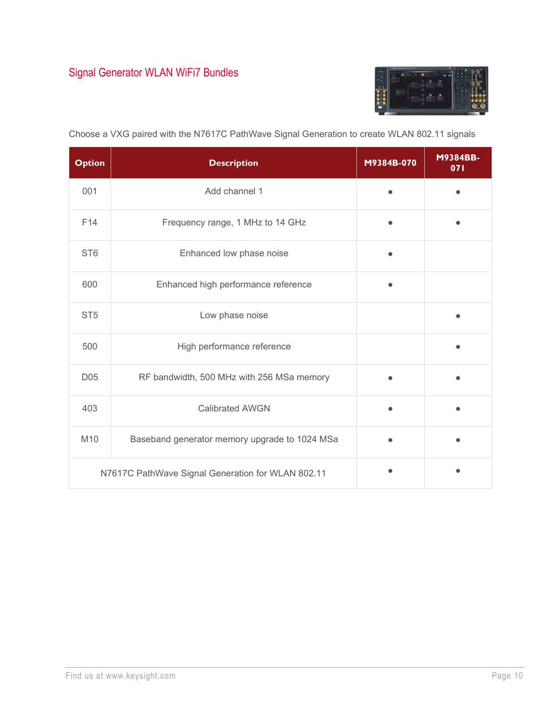

| <b>Option</b>   | <b>Description</b>                                | M9384B-070 | M9384BB-<br>071 |
|-----------------|---------------------------------------------------|------------|-----------------|
| 001             | Add channel 1                                     |            |                 |
| F <sub>14</sub> | Frequency range, 1 MHz to 14 GHz                  |            |                 |
| ST <sub>6</sub> | Enhanced low phase noise                          |            |                 |
| 600             | Enhanced high performance reference               |            |                 |
| ST <sub>5</sub> | Low phase noise                                   |            |                 |
| 500             | High performance reference                        |            |                 |
| D <sub>05</sub> | RF bandwidth, 500 MHz with 256 MSa memory         |            |                 |
| 403             | <b>Calibrated AWGN</b>                            |            |                 |
| M10             | Baseband generator memory upgrade to 1024 MSa     |            |                 |
|                 | N7617C PathWave Signal Generation for WLAN 802.11 |            |                 |

Choose a VXG paired with the N7617C PathWave Signal Generation to create WLAN 802.11 signals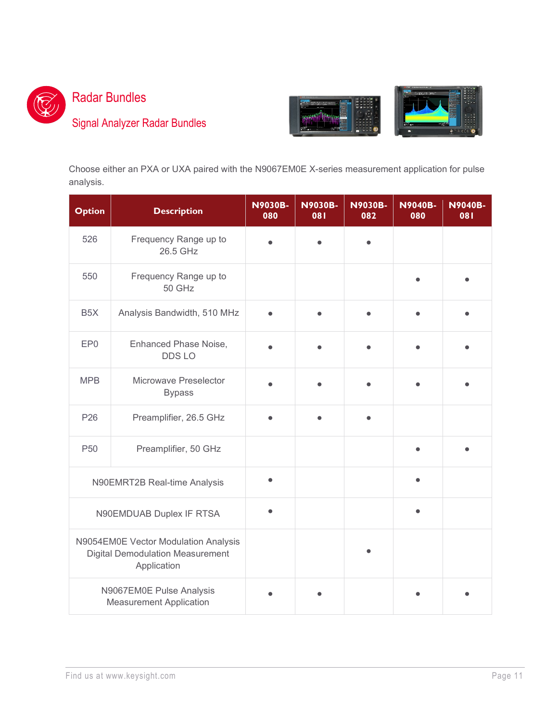

# <span id="page-10-0"></span>Radar Bundles

# Signal Analyzer Radar Bundles



Choose either an PXA or UXA paired with the N9067EM0E X-series measurement application for pulse analysis.

| <b>Option</b>                                                                                  | <b>Description</b>                                         | <b>N9030B-</b><br>080 | <b>N9030B-</b><br>180 | <b>N9030B-</b><br>082 | <b>N9040B-</b><br>080 | <b>N9040B-</b><br>081 |
|------------------------------------------------------------------------------------------------|------------------------------------------------------------|-----------------------|-----------------------|-----------------------|-----------------------|-----------------------|
| 526                                                                                            | Frequency Range up to<br>26.5 GHz                          |                       |                       |                       |                       |                       |
| 550                                                                                            | Frequency Range up to<br>50 GHz                            |                       |                       |                       |                       |                       |
| B <sub>5</sub> X                                                                               | Analysis Bandwidth, 510 MHz                                |                       |                       |                       |                       |                       |
| EP <sub>0</sub>                                                                                | Enhanced Phase Noise,<br>DDS LO                            |                       |                       |                       |                       |                       |
| <b>MPB</b>                                                                                     | Microwave Preselector<br><b>Bypass</b>                     |                       |                       |                       |                       |                       |
| P26                                                                                            | Preamplifier, 26.5 GHz                                     |                       |                       |                       |                       |                       |
| P <sub>50</sub>                                                                                | Preamplifier, 50 GHz                                       |                       |                       |                       |                       |                       |
|                                                                                                | N90EMRT2B Real-time Analysis                               |                       |                       |                       |                       |                       |
| N90EMDUAB Duplex IF RTSA                                                                       |                                                            |                       |                       |                       |                       |                       |
| N9054EM0E Vector Modulation Analysis<br><b>Digital Demodulation Measurement</b><br>Application |                                                            |                       |                       |                       |                       |                       |
|                                                                                                | N9067EM0E Pulse Analysis<br><b>Measurement Application</b> |                       |                       |                       |                       |                       |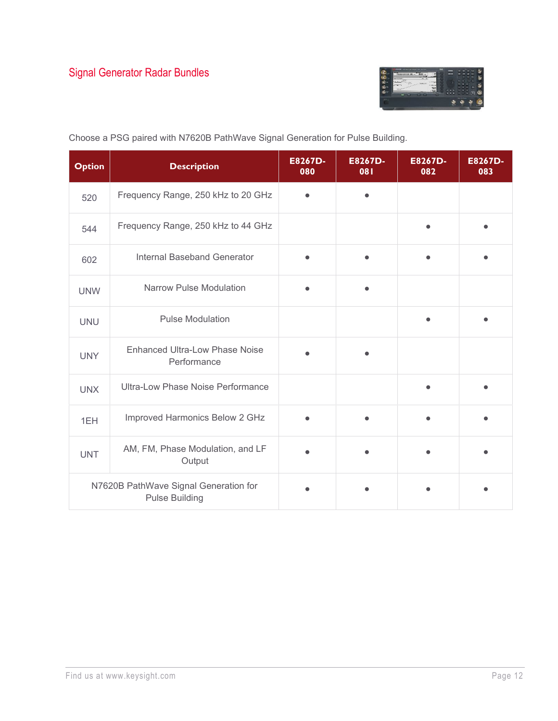

| <b>Option</b> | <b>Description</b>                                             | E8267D-<br>080 | E8267D-<br>081 | E8267D-<br>082 | E8267D-<br>083 |
|---------------|----------------------------------------------------------------|----------------|----------------|----------------|----------------|
| 520           | Frequency Range, 250 kHz to 20 GHz                             |                |                |                |                |
| 544           | Frequency Range, 250 kHz to 44 GHz                             |                |                | $\bullet$      |                |
| 602           | Internal Baseband Generator                                    |                |                |                |                |
| <b>UNW</b>    | <b>Narrow Pulse Modulation</b>                                 |                |                |                |                |
| <b>UNU</b>    | <b>Pulse Modulation</b>                                        |                |                | $\bullet$      |                |
| <b>UNY</b>    | <b>Enhanced Ultra-Low Phase Noise</b><br>Performance           |                |                |                |                |
| <b>UNX</b>    | Ultra-Low Phase Noise Performance                              |                |                |                |                |
| 1EH           | Improved Harmonics Below 2 GHz                                 |                |                |                |                |
| <b>UNT</b>    | AM, FM, Phase Modulation, and LF<br>Output                     |                |                | $\bullet$      |                |
|               | N7620B PathWave Signal Generation for<br><b>Pulse Building</b> |                |                |                |                |

Choose a PSG paired with N7620B PathWave Signal Generation for Pulse Building.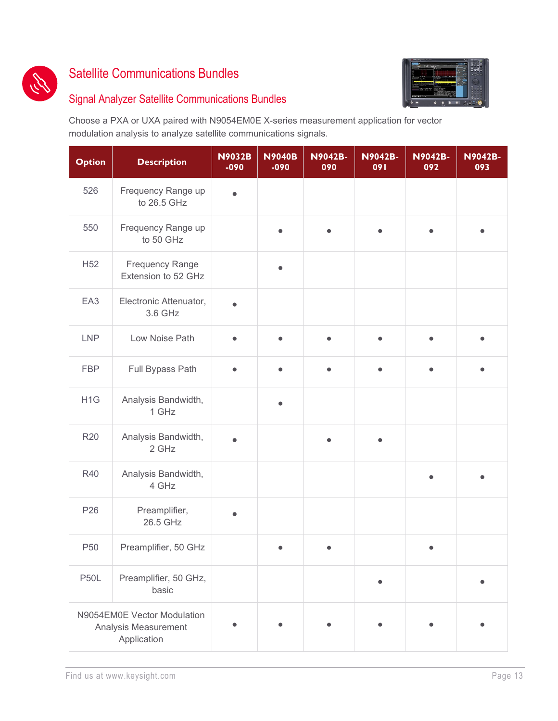

#### <span id="page-12-0"></span>Satellite Communications Bundles

#### Signal Analyzer Satellite Communications Bundles

Choose a PXA or UXA paired with N9054EM0E X-series measurement application for vector modulation analysis to analyze satellite communications signals.

| <b>Option</b>    | <b>Description</b>                                                 | <b>N9032B</b><br>$-090$ | <b>N9040B</b><br>$-090$ | <b>N9042B-</b><br>090 | <b>N9042B-</b><br>091 | <b>N9042B-</b><br>092 | <b>N9042B-</b><br>093 |
|------------------|--------------------------------------------------------------------|-------------------------|-------------------------|-----------------------|-----------------------|-----------------------|-----------------------|
| 526              | Frequency Range up<br>to 26.5 GHz                                  | ●                       |                         |                       |                       |                       |                       |
| 550              | Frequency Range up<br>to 50 GHz                                    |                         |                         |                       |                       |                       |                       |
| H <sub>52</sub>  | <b>Frequency Range</b><br>Extension to 52 GHz                      |                         |                         |                       |                       |                       |                       |
| EA <sub>3</sub>  | Electronic Attenuator,<br>3.6 GHz                                  |                         |                         |                       |                       |                       |                       |
| <b>LNP</b>       | Low Noise Path                                                     |                         | Ô                       | $\bullet$             | $\bullet$             |                       |                       |
| <b>FBP</b>       | Full Bypass Path                                                   | $\bullet$               | $\bullet$               | $\bullet$             | $\bullet$             |                       |                       |
| H <sub>1</sub> G | Analysis Bandwidth,<br>1 GHz                                       |                         | $\bullet$               |                       |                       |                       |                       |
| <b>R20</b>       | Analysis Bandwidth,<br>2 GHz                                       |                         |                         |                       |                       |                       |                       |
| <b>R40</b>       | Analysis Bandwidth,<br>4 GHz                                       |                         |                         |                       |                       |                       |                       |
| P <sub>26</sub>  | Preamplifier,<br>26.5 GHz                                          |                         |                         |                       |                       |                       |                       |
| P <sub>50</sub>  | Preamplifier, 50 GHz                                               |                         |                         |                       |                       |                       |                       |
| <b>P50L</b>      | Preamplifier, 50 GHz,<br>basic                                     |                         |                         |                       |                       |                       |                       |
|                  | N9054EM0E Vector Modulation<br>Analysis Measurement<br>Application |                         |                         |                       |                       |                       |                       |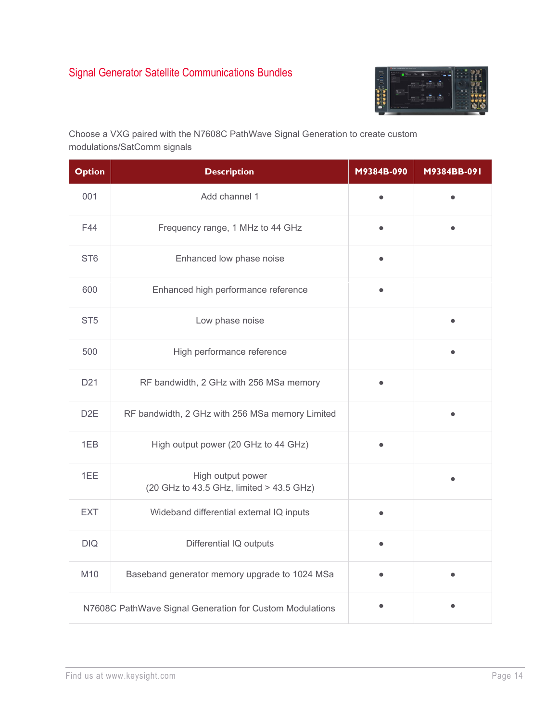

Choose a VXG paired with the N7608C PathWave Signal Generation to create custom modulations/SatComm signals

| <b>Option</b>    | <b>Description</b>                                            | M9384B-090 | M9384BB-091 |
|------------------|---------------------------------------------------------------|------------|-------------|
| 001              | Add channel 1                                                 |            |             |
| F44              | Frequency range, 1 MHz to 44 GHz                              |            |             |
| ST <sub>6</sub>  | Enhanced low phase noise                                      |            |             |
| 600              | Enhanced high performance reference                           |            |             |
| ST <sub>5</sub>  | Low phase noise                                               |            |             |
| 500              | High performance reference                                    |            |             |
| D <sub>21</sub>  | RF bandwidth, 2 GHz with 256 MSa memory                       |            |             |
| D <sub>2</sub> E | RF bandwidth, 2 GHz with 256 MSa memory Limited               |            |             |
| 1EB              | High output power (20 GHz to 44 GHz)                          |            |             |
| 1EE              | High output power<br>(20 GHz to 43.5 GHz, limited > 43.5 GHz) |            |             |
| <b>EXT</b>       | Wideband differential external IQ inputs                      |            |             |
| DIQ              | Differential IQ outputs                                       |            |             |
| M10              | Baseband generator memory upgrade to 1024 MSa                 |            |             |
|                  | N7608C PathWave Signal Generation for Custom Modulations      |            |             |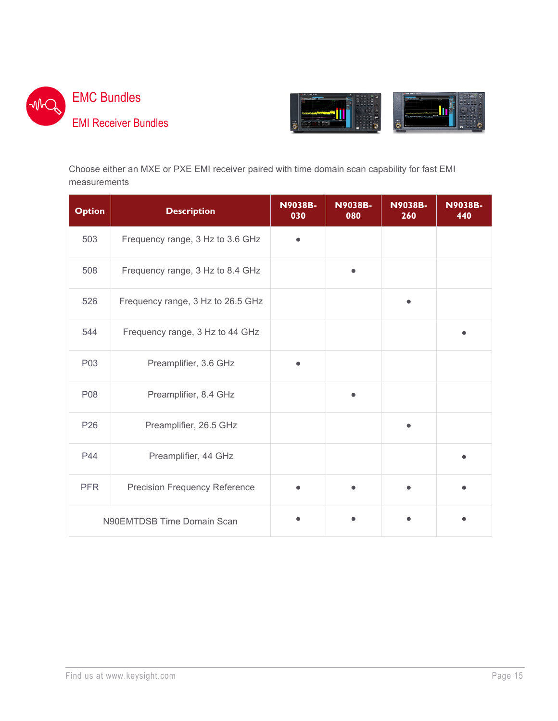<span id="page-14-0"></span>



Choose either an MXE or PXE EMI receiver paired with time domain scan capability for fast EMI measurements

| <b>Option</b>              | <b>Description</b>                   | <b>N9038B-</b><br>030 | <b>N9038B-</b><br>080 | <b>N9038B-</b><br>260 | <b>N9038B-</b><br>440 |
|----------------------------|--------------------------------------|-----------------------|-----------------------|-----------------------|-----------------------|
| 503                        | Frequency range, 3 Hz to 3.6 GHz     |                       |                       |                       |                       |
| 508                        | Frequency range, 3 Hz to 8.4 GHz     |                       |                       |                       |                       |
| 526                        | Frequency range, 3 Hz to 26.5 GHz    |                       |                       |                       |                       |
| 544                        | Frequency range, 3 Hz to 44 GHz      |                       |                       |                       |                       |
| P03                        | Preamplifier, 3.6 GHz                |                       |                       |                       |                       |
| P08                        | Preamplifier, 8.4 GHz                |                       |                       |                       |                       |
| P <sub>26</sub>            | Preamplifier, 26.5 GHz               |                       |                       |                       |                       |
| P44                        | Preamplifier, 44 GHz                 |                       |                       |                       |                       |
| <b>PFR</b>                 | <b>Precision Frequency Reference</b> |                       |                       |                       |                       |
| N90EMTDSB Time Domain Scan |                                      |                       |                       |                       |                       |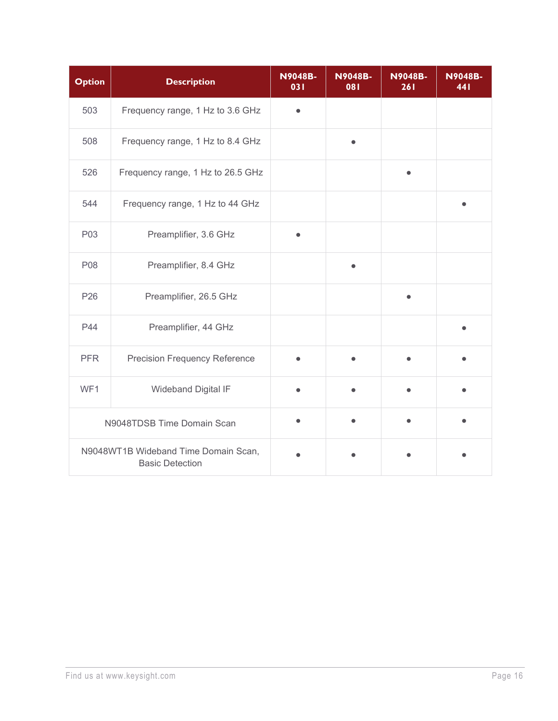| <b>Option</b>                                                  | <b>Description</b>                   | <b>N9048B-</b><br>031 | <b>N9048B-</b><br>081 | <b>N9048B-</b><br>261 | <b>N9048B-</b><br>441 |
|----------------------------------------------------------------|--------------------------------------|-----------------------|-----------------------|-----------------------|-----------------------|
| 503                                                            | Frequency range, 1 Hz to 3.6 GHz     |                       |                       |                       |                       |
| 508                                                            | Frequency range, 1 Hz to 8.4 GHz     |                       |                       |                       |                       |
| 526                                                            | Frequency range, 1 Hz to 26.5 GHz    |                       |                       |                       |                       |
| 544                                                            | Frequency range, 1 Hz to 44 GHz      |                       |                       |                       |                       |
| P03                                                            | Preamplifier, 3.6 GHz                | $\bullet$             |                       |                       |                       |
| P08                                                            | Preamplifier, 8.4 GHz                |                       | $\bullet$             |                       |                       |
| P <sub>26</sub>                                                | Preamplifier, 26.5 GHz               |                       |                       |                       |                       |
| P44                                                            | Preamplifier, 44 GHz                 |                       |                       |                       |                       |
| <b>PFR</b>                                                     | <b>Precision Frequency Reference</b> |                       |                       |                       |                       |
| WF1                                                            | Wideband Digital IF                  |                       |                       |                       |                       |
|                                                                | N9048TDSB Time Domain Scan           |                       |                       |                       |                       |
| N9048WT1B Wideband Time Domain Scan,<br><b>Basic Detection</b> |                                      |                       |                       |                       |                       |